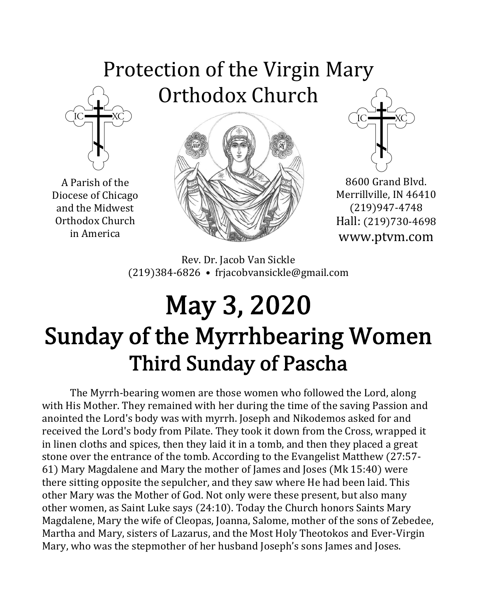### Protection of the Virgin Mary Orthodox Church



A Parish of the Diocese of Chicago and the Midwest Orthodox Church in America





8600 Grand Blvd. Merrillville, IN 46410 (219)947-4748 Hall: (219)730-4698 www.ptvm.com

Rev. Dr. Jacob Van Sickle (219)384-6826 • frjacobvansickle@gmail.com

## May 3, 2020 Sunday of the Myrrhbearing Women Third Sunday of Pascha

The Myrrh-bearing women are those women who followed the Lord, along with His Mother. They remained with her during the time of the saving Passion and anointed the Lord's body was with myrrh. Joseph and Nikodemos asked for and received the Lord's body from Pilate. They took it down from the Cross, wrapped it in linen cloths and spices, then they laid it in a tomb, and then they placed a great stone over the entrance of the tomb. According to the Evangelist Matthew (27:57-61) Mary Magdalene and Mary the mother of James and Joses (Mk 15:40) were there sitting opposite the sepulcher, and they saw where He had been laid. This other Mary was the Mother of God. Not only were these present, but also many other women, as Saint Luke says (24:10). Today the Church honors Saints Mary Magdalene, Mary the wife of Cleopas, Joanna, Salome, mother of the sons of Zebedee, Martha and Mary, sisters of Lazarus, and the Most Holy Theotokos and Ever-Virgin Mary, who was the stepmother of her husband Joseph's sons James and Joses.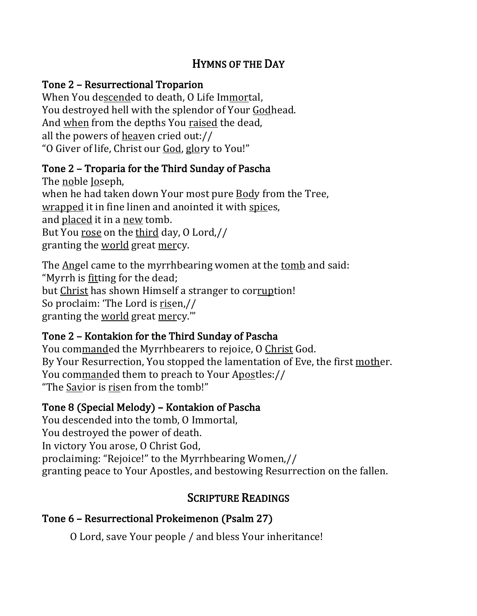#### HYMNS OF THE DAY

#### Tone 2 – Resurrectional Troparion

When You descended to death, O Life Immortal, You destroyed hell with the splendor of Your Godhead. And when from the depths You raised the dead, all the powers of heaven cried out:// "O Giver of life, Christ our God, glory to You!"

#### Tone 2 - Troparia for the Third Sunday of Pascha

The noble Joseph, when he had taken down Your most pure Body from the Tree, wrapped it in fine linen and anointed it with spices, and placed it in a new tomb. But You rose on the third day, 0 Lord,// granting the world great mercy.

The Angel came to the myrrhbearing women at the tomb and said: "Myrrh is fitting for the dead; but Christ has shown Himself a stranger to corruption! So proclaim: 'The Lord is risen,// granting the world great mercy."

#### Tone 2 – Kontakion for the Third Sunday of Pascha

You commanded the Myrrhbearers to rejoice, O Christ God. By Your Resurrection, You stopped the lamentation of Eve, the first mother. You commanded them to preach to Your Apostles:// "The Savior is risen from the tomb!"

#### Tone 8 (Special Melody) – Kontakion of Pascha

You descended into the tomb, O Immortal, You destroyed the power of death. In victory You arose, O Christ God, proclaiming: "Rejoice!" to the Myrrhbearing Women,// granting peace to Your Apostles, and bestowing Resurrection on the fallen.

#### **SCRIPTURE READINGS**

#### Tone 6 - Resurrectional Prokeimenon (Psalm 27)

O Lord, save Your people / and bless Your inheritance!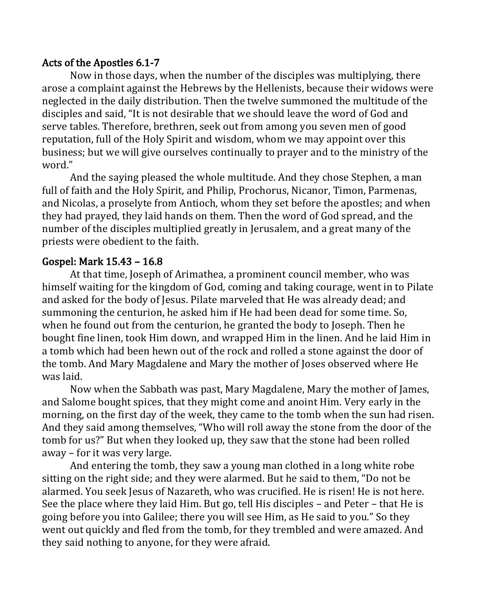#### Acts of the Apostles 6.1-7

Now in those days, when the number of the disciples was multiplying, there arose a complaint against the Hebrews by the Hellenists, because their widows were neglected in the daily distribution. Then the twelve summoned the multitude of the disciples and said, "It is not desirable that we should leave the word of God and serve tables. Therefore, brethren, seek out from among you seven men of good reputation, full of the Holy Spirit and wisdom, whom we may appoint over this business; but we will give ourselves continually to prayer and to the ministry of the word."

And the saying pleased the whole multitude. And they chose Stephen, a man full of faith and the Holy Spirit, and Philip, Prochorus, Nicanor, Timon, Parmenas, and Nicolas, a proselyte from Antioch, whom they set before the apostles; and when they had prayed, they laid hands on them. Then the word of God spread, and the number of the disciples multiplied greatly in Jerusalem, and a great many of the priests were obedient to the faith.

#### Gospel: Mark 15.43 - 16.8

At that time, Joseph of Arimathea, a prominent council member, who was himself waiting for the kingdom of God, coming and taking courage, went in to Pilate and asked for the body of Jesus. Pilate marveled that He was already dead; and summoning the centurion, he asked him if He had been dead for some time. So, when he found out from the centurion, he granted the body to Joseph. Then he bought fine linen, took Him down, and wrapped Him in the linen. And he laid Him in a tomb which had been hewn out of the rock and rolled a stone against the door of the tomb. And Mary Magdalene and Mary the mother of Joses observed where He was laid.

Now when the Sabbath was past, Mary Magdalene, Mary the mother of James, and Salome bought spices, that they might come and anoint Him. Very early in the morning, on the first day of the week, they came to the tomb when the sun had risen. And they said among themselves, "Who will roll away the stone from the door of the tomb for us?" But when they looked up, they saw that the stone had been rolled away - for it was very large.

And entering the tomb, they saw a young man clothed in a long white robe sitting on the right side; and they were alarmed. But he said to them, "Do not be alarmed. You seek Jesus of Nazareth, who was crucified. He is risen! He is not here. See the place where they laid Him. But go, tell His disciples  $-$  and Peter  $-$  that He is going before you into Galilee; there you will see Him, as He said to you." So they went out quickly and fled from the tomb, for they trembled and were amazed. And they said nothing to anyone, for they were afraid.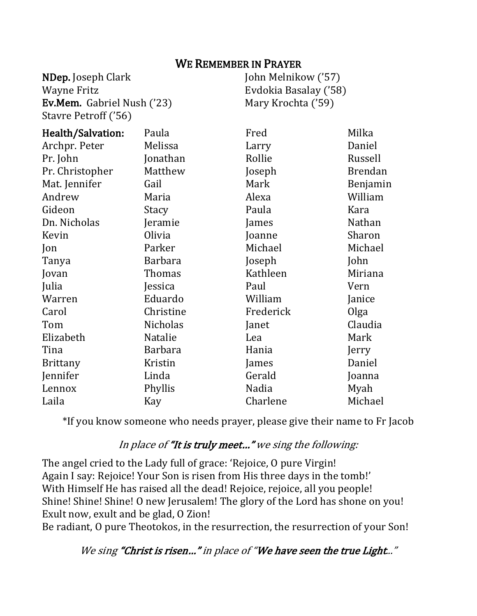#### WE REMEMBER IN PRAYER

NDep. Joseph Clark Wayne Fritz Ev.Mem. Gabriel Nush ('23) Stavre Petroff ('56)

John Melnikow ('57) Evdokia Basalay ('58) Mary Krochta ('59)

| Health/Salvation: | Paula           | Fred      | Milka          |
|-------------------|-----------------|-----------|----------------|
| Archpr. Peter     | Melissa         | Larry     | Daniel         |
| Pr. John          | Jonathan        | Rollie    | Russell        |
| Pr. Christopher   | Matthew         | Joseph    | <b>Brendan</b> |
| Mat. Jennifer     | Gail            | Mark      | Benjamin       |
| Andrew            | Maria           | Alexa     | William        |
| Gideon            | Stacy           | Paula     | Kara           |
| Dn. Nicholas      | Jeramie         | James     | Nathan         |
| Kevin             | Olivia          | Joanne    | Sharon         |
| Jon               | Parker          | Michael   | Michael        |
| Tanya             | <b>Barbara</b>  | Joseph    | John           |
| Jovan             | Thomas          | Kathleen  | Miriana        |
| Julia             | Jessica         | Paul      | Vern           |
| Warren            | Eduardo         | William   | Janice         |
| Carol             | Christine       | Frederick | Olga           |
| Tom               | <b>Nicholas</b> | Janet     | Claudia        |
| Elizabeth         | Natalie         | Lea       | Mark           |
| Tina              | <b>Barbara</b>  | Hania     | Jerry          |
| <b>Brittany</b>   | Kristin         | James     | Daniel         |
| Jennifer          | Linda           | Gerald    | Joanna         |
| Lennox            | Phyllis         | Nadia     | Myah           |
| Laila             | Kay             | Charlene  | Michael        |

\*If you know someone who needs prayer, please give their name to Fr Jacob

#### In place of "It is truly meet..." we sing the following:

The angel cried to the Lady full of grace: 'Rejoice, O pure Virgin! Again I say: Rejoice! Your Son is risen from His three days in the tomb!' With Himself He has raised all the dead! Rejoice, rejoice, all you people! Shine! Shine! Shine! O new Jerusalem! The glory of the Lord has shone on you! Exult now, exult and be glad, O Zion!

Be radiant, O pure Theotokos, in the resurrection, the resurrection of your Son!

We sing "Christ is risen..." in place of "We have seen the true Light..."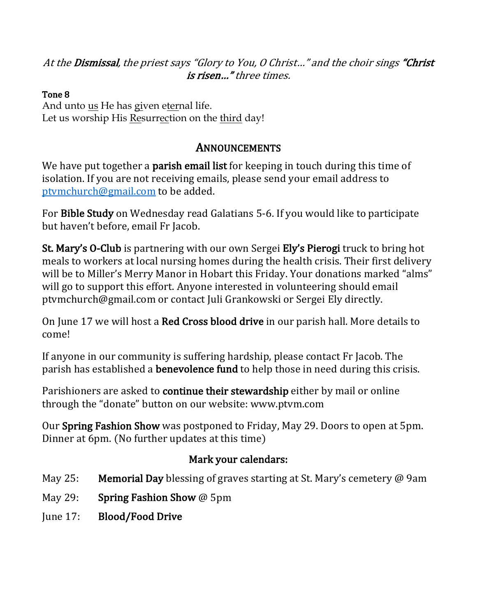At the Dismissal, the priest says "Glory to You, O Christ..." and the choir sings "Christ is risen..." three times.

#### Tone 8

And unto us He has given eternal life. Let us worship His Resurrection on the third day! 

#### **ANNOUNCEMENTS**

We have put together a **parish email list** for keeping in touch during this time of isolation. If you are not receiving emails, please send your email address to ptymchurch@gmail.com to be added.

For **Bible Study** on Wednesday read Galatians 5-6. If you would like to participate but haven't before, email Fr Jacob.

St. Mary's O-Club is partnering with our own Sergei Ely's Pierogi truck to bring hot meals to workers at local nursing homes during the health crisis. Their first delivery will be to Miller's Merry Manor in Hobart this Friday. Your donations marked "alms" will go to support this effort. Anyone interested in volunteering should email ptymchurch@gmail.com or contact Juli Grankowski or Sergei Ely directly.

On June 17 we will host a **Red Cross blood drive** in our parish hall. More details to come!

If anyone in our community is suffering hardship, please contact Fr Jacob. The parish has established a **benevolence fund** to help those in need during this crisis.

Parishioners are asked to **continue their stewardship** either by mail or online through the "donate" button on our website: www.ptym.com

Our Spring Fashion Show was postponed to Friday, May 29. Doors to open at 5pm. Dinner at 6pm. (No further updates at this time)

#### Mark your calendars:

- May 25: Memorial Day blessing of graves starting at St. Mary's cemetery  $\omega$  9am
- May 29: Spring Fashion Show  $@$  5pm
- June 17: Blood/Food Drive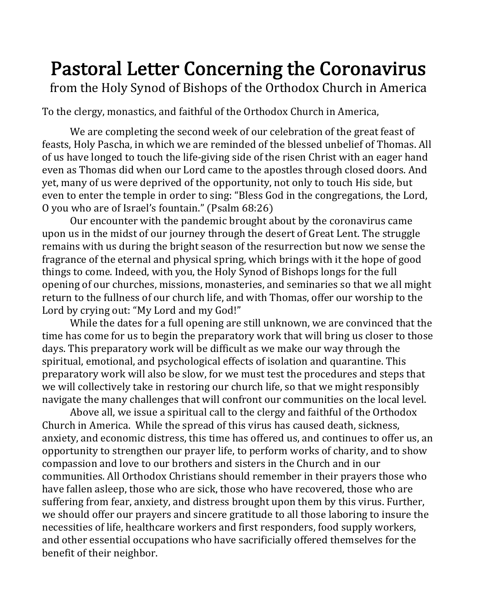### Pastoral Letter Concerning the Coronavirus

from the Holy Synod of Bishops of the Orthodox Church in America

To the clergy, monastics, and faithful of the Orthodox Church in America,

We are completing the second week of our celebration of the great feast of feasts, Holy Pascha, in which we are reminded of the blessed unbelief of Thomas. All of us have longed to touch the life-giving side of the risen Christ with an eager hand even as Thomas did when our Lord came to the apostles through closed doors. And yet, many of us were deprived of the opportunity, not only to touch His side, but even to enter the temple in order to sing: "Bless God in the congregations, the Lord, O you who are of Israel's fountain." (Psalm 68:26)

Our encounter with the pandemic brought about by the coronavirus came upon us in the midst of our journey through the desert of Great Lent. The struggle remains with us during the bright season of the resurrection but now we sense the fragrance of the eternal and physical spring, which brings with it the hope of good things to come. Indeed, with you, the Holy Synod of Bishops longs for the full opening of our churches, missions, monasteries, and seminaries so that we all might return to the fullness of our church life, and with Thomas, offer our worship to the Lord by crying out: "My Lord and my God!"

While the dates for a full opening are still unknown, we are convinced that the time has come for us to begin the preparatory work that will bring us closer to those days. This preparatory work will be difficult as we make our way through the spiritual, emotional, and psychological effects of isolation and quarantine. This preparatory work will also be slow, for we must test the procedures and steps that we will collectively take in restoring our church life, so that we might responsibly navigate the many challenges that will confront our communities on the local level.

Above all, we issue a spiritual call to the clergy and faithful of the Orthodox Church in America. While the spread of this virus has caused death, sickness, anxiety, and economic distress, this time has offered us, and continues to offer us, an opportunity to strengthen our prayer life, to perform works of charity, and to show compassion and love to our brothers and sisters in the Church and in our communities. All Orthodox Christians should remember in their prayers those who have fallen asleep, those who are sick, those who have recovered, those who are suffering from fear, anxiety, and distress brought upon them by this virus. Further, we should offer our prayers and sincere gratitude to all those laboring to insure the necessities of life, healthcare workers and first responders, food supply workers, and other essential occupations who have sacrificially offered themselves for the benefit of their neighbor.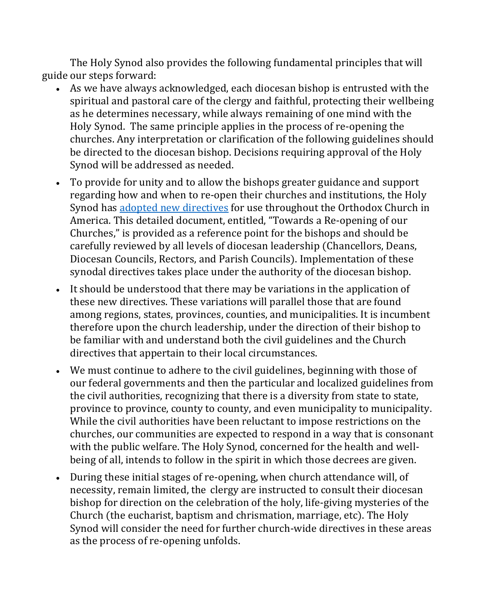The Holy Synod also provides the following fundamental principles that will guide our steps forward:

- As we have always acknowledged, each diocesan bishop is entrusted with the spiritual and pastoral care of the clergy and faithful, protecting their wellbeing as he determines necessary, while always remaining of one mind with the Holy Synod. The same principle applies in the process of re-opening the churches. Any interpretation or clarification of the following guidelines should be directed to the diocesan bishop. Decisions requiring approval of the Holy Synod will be addressed as needed.
- To provide for unity and to allow the bishops greater guidance and support regarding how and when to re-open their churches and institutions, the Holy Synod has adopted new directives for use throughout the Orthodox Church in America. This detailed document, entitled, "Towards a Re-opening of our Churches," is provided as a reference point for the bishops and should be carefully reviewed by all levels of diocesan leadership (Chancellors, Deans, Diocesan Councils, Rectors, and Parish Councils). Implementation of these synodal directives takes place under the authority of the diocesan bishop.
- It should be understood that there may be variations in the application of these new directives. These variations will parallel those that are found among regions, states, provinces, counties, and municipalities. It is incumbent therefore upon the church leadership, under the direction of their bishop to be familiar with and understand both the civil guidelines and the Church directives that appertain to their local circumstances.
- We must continue to adhere to the civil guidelines, beginning with those of our federal governments and then the particular and localized guidelines from the civil authorities, recognizing that there is a diversity from state to state, province to province, county to county, and even municipality to municipality. While the civil authorities have been reluctant to impose restrictions on the churches, our communities are expected to respond in a way that is consonant with the public welfare. The Holy Synod, concerned for the health and wellbeing of all, intends to follow in the spirit in which those decrees are given.
- During these initial stages of re-opening, when church attendance will, of necessity, remain limited, the clergy are instructed to consult their diocesan bishop for direction on the celebration of the holy, life-giving mysteries of the Church (the eucharist, baptism and chrismation, marriage, etc). The Holy Synod will consider the need for further church-wide directives in these areas as the process of re-opening unfolds.